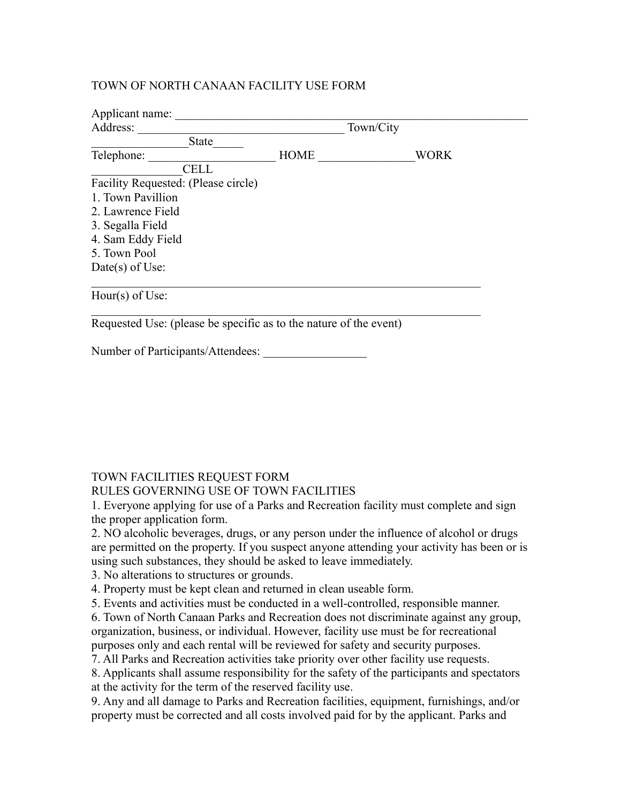## TOWN OF NORTH CANAAN FACILITY USE FORM

| Applicant name:                                                   |             |           |             |  |
|-------------------------------------------------------------------|-------------|-----------|-------------|--|
| Address:                                                          |             | Town/City |             |  |
| State                                                             |             |           |             |  |
| Telephone:                                                        | <b>HOME</b> |           | <b>WORK</b> |  |
| <b>CELL</b>                                                       |             |           |             |  |
| Facility Requested: (Please circle)                               |             |           |             |  |
| 1. Town Pavillion                                                 |             |           |             |  |
| 2. Lawrence Field                                                 |             |           |             |  |
| 3. Segalla Field                                                  |             |           |             |  |
| 4. Sam Eddy Field                                                 |             |           |             |  |
| 5. Town Pool                                                      |             |           |             |  |
| Date(s) of Use:                                                   |             |           |             |  |
| Hour(s) of Use:                                                   |             |           |             |  |
| Requested Use: (please be specific as to the nature of the event) |             |           |             |  |

Number of Participants/Attendees:

## TOWN FACILITIES REQUEST FORM

## RULES GOVERNING USE OF TOWN FACILITIES

1. Everyone applying for use of a Parks and Recreation facility must complete and sign the proper application form.

2. NO alcoholic beverages, drugs, or any person under the influence of alcohol or drugs are permitted on the property. If you suspect anyone attending your activity has been or is using such substances, they should be asked to leave immediately.

3. No alterations to structures or grounds.

4. Property must be kept clean and returned in clean useable form.

5. Events and activities must be conducted in a well-controlled, responsible manner.

6. Town of North Canaan Parks and Recreation does not discriminate against any group, organization, business, or individual. However, facility use must be for recreational purposes only and each rental will be reviewed for safety and security purposes.

7. All Parks and Recreation activities take priority over other facility use requests.

8. Applicants shall assume responsibility for the safety of the participants and spectators at the activity for the term of the reserved facility use.

9. Any and all damage to Parks and Recreation facilities, equipment, furnishings, and/or property must be corrected and all costs involved paid for by the applicant. Parks and